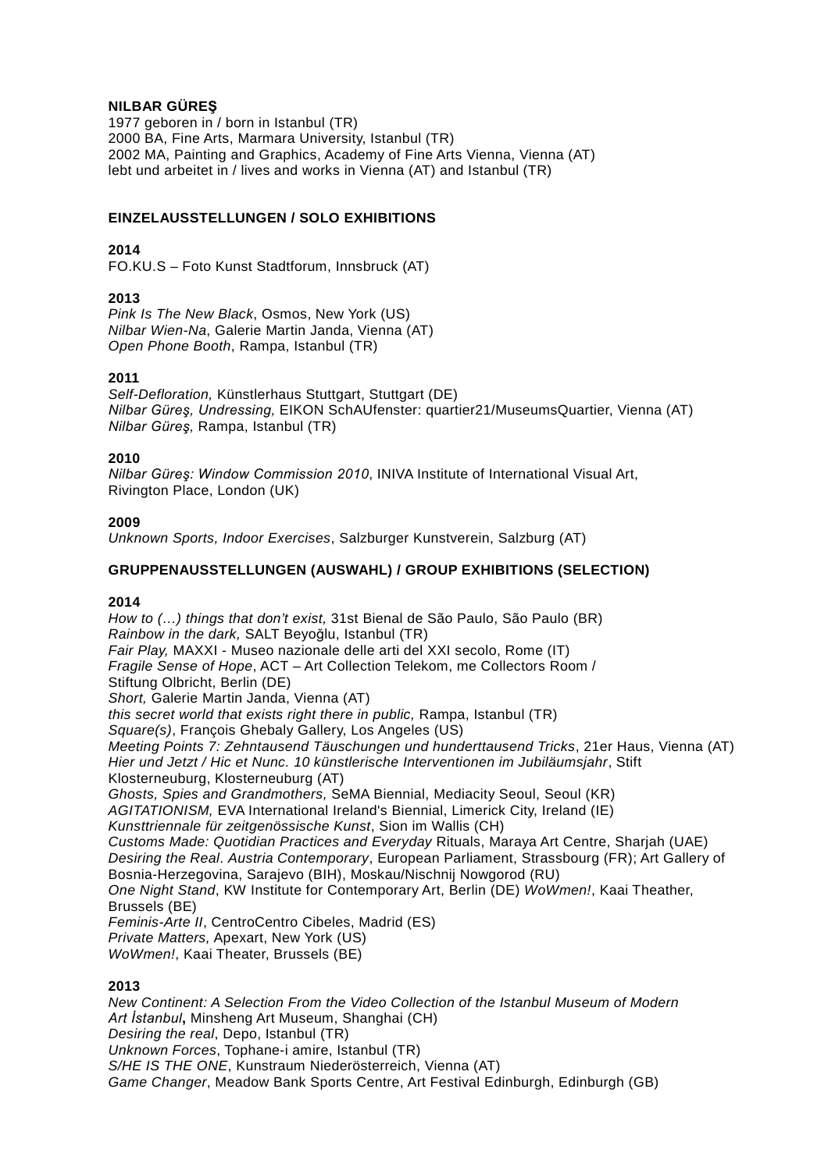## **NILBAR GÜREŞ**

1977 geboren in / born in Istanbul (TR) 2000 BA, Fine Arts, Marmara University, Istanbul (TR) 2002 MA, Painting and Graphics, Academy of Fine Arts Vienna, Vienna (AT) lebt und arbeitet in / lives and works in Vienna (AT) and Istanbul (TR)

## **EINZELAUSSTELLUNGEN / SOLO EXHIBITIONS**

# **2014**

FO.KU.S – Foto Kunst Stadtforum, Innsbruck (AT)

# **2013**

*Pink Is The New Black*, Osmos, New York (US) *Nilbar Wien-Na*, Galerie Martin Janda, Vienna (AT) *Open Phone Booth*, Rampa, Istanbul (TR)

# **2011**

*Self-Defloration,* Künstlerhaus Stuttgart, Stuttgart (DE) *Nilbar Güreş, Undressing,* EIKON SchAUfenster: quartier21/MuseumsQuartier, Vienna (AT) *Nilbar Güreş,* Rampa, Istanbul (TR)

# **2010**

*Nilbar Güreş: Window Commission 2010*, INIVA Institute of International Visual Art, Rivington Place, London (UK)

## **2009**

*Unknown Sports, Indoor Exercises*, Salzburger Kunstverein, Salzburg (AT)

# **GRUPPENAUSSTELLUNGEN (AUSWAHL) / GROUP EXHIBITIONS (SELECTION)**

## **2014**

*How to (…) things that don't exist,* 31st Bienal de São Paulo, São Paulo (BR) *Rainbow in the dark,* SALT Beyoğlu, Istanbul (TR) *Fair Play,* MAXXI - Museo nazionale delle arti del XXI secolo, Rome (IT) *Fragile Sense of Hope*, ACT – Art Collection Telekom, me Collectors Room / Stiftung Olbricht, Berlin (DE) *Short,* Galerie Martin Janda, Vienna (AT) *this secret world that exists right there in public,* Rampa, Istanbul (TR) *Square(s)*, François Ghebaly Gallery, Los Angeles (US) *Meeting Points 7: Zehntausend Täuschungen und hunderttausend Tricks*, 21er Haus, Vienna (AT) *Hier und Jetzt / Hic et Nunc. 10 künstlerische Interventionen im Jubiläumsjahr*, Stift Klosterneuburg, Klosterneuburg (AT) *Ghosts, Spies and Grandmothers,* SeMA Biennial, Mediacity Seoul, Seoul (KR) *AGITATIONISM,* EVA International Ireland's Biennial, Limerick City, Ireland (IE) *Kunsttriennale für zeitgenössische Kunst*, Sion im Wallis (CH) *Customs Made: Quotidian Practices and Everyday* Rituals, Maraya Art Centre, Sharjah (UAE) *Desiring the Real*. *Austria Contemporary*, European Parliament, Strassbourg (FR); Art Gallery of Bosnia-Herzegovina, Sarajevo (BIH), Moskau/Nischnij Nowgorod (RU) *One Night Stand*, KW Institute for Contemporary Art, Berlin (DE) *WoWmen!*, Kaai Theather, Brussels (BE) *Feminis-Arte II*, CentroCentro Cibeles, Madrid (ES) *Private Matters,* Apexart, New York (US) *WoWmen!*, Kaai Theater, Brussels (BE)

## **2013**

*New Continent: A Selection From the Video Collection of the Istanbul Museum of Modern Art İstanbul***,** Minsheng Art Museum, Shanghai (CH) *Desiring the real*, Depo, Istanbul (TR) *Unknown Forces*, Tophane-i amire, Istanbul (TR) *S/HE IS THE ONE*, Kunstraum Niederösterreich, Vienna (AT) *Game Changer*, Meadow Bank Sports Centre, Art Festival Edinburgh, Edinburgh (GB)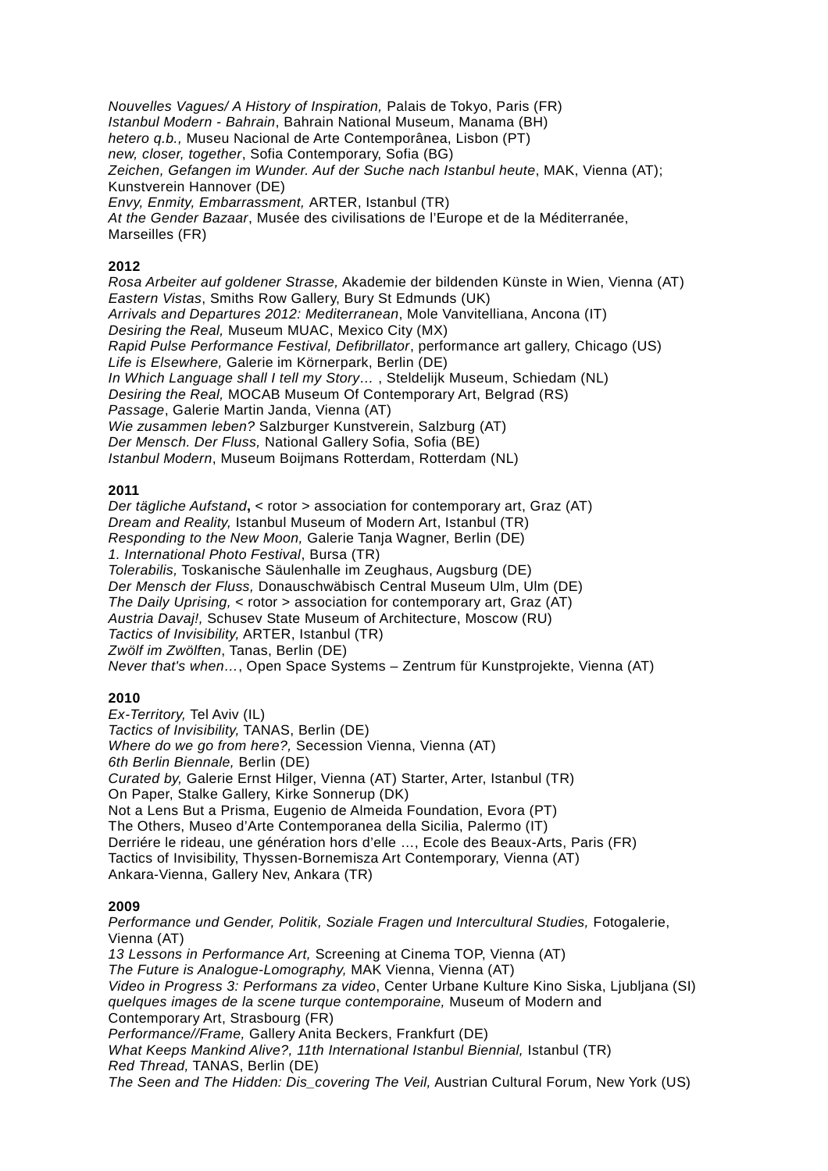*Nouvelles Vagues/ A History of Inspiration,* Palais de Tokyo, Paris (FR) *Istanbul Modern - Bahrain*, Bahrain National Museum, Manama (BH) *hetero q.b.,* Museu Nacional de Arte Contemporânea, Lisbon (PT) *new, closer, together*, Sofia Contemporary, Sofia (BG) *Zeichen, Gefangen im Wunder. Auf der Suche nach Istanbul heute*, MAK, Vienna (AT); Kunstverein Hannover (DE) *Envy, Enmity, Embarrassment,* ARTER, Istanbul (TR) *At the Gender Bazaar*, Musée des civilisations de l'Europe et de la Méditerranée, Marseilles (FR)

# **2012**

*Rosa Arbeiter auf goldener Strasse,* Akademie der bildenden Künste in Wien, Vienna (AT) *Eastern Vistas*, Smiths Row Gallery, Bury St Edmunds (UK) *Arrivals and Departures 2012: Mediterranean*, Mole Vanvitelliana, Ancona (IT) *Desiring the Real,* Museum MUAC, Mexico City (MX) *Rapid Pulse Performance Festival, Defibrillator*, performance art gallery, Chicago (US) *Life is Elsewhere,* Galerie im Körnerpark, Berlin (DE) *In Which Language shall I tell my Story…* , Steldelijk Museum, Schiedam (NL) *Desiring the Real,* MOCAB Museum Of Contemporary Art, Belgrad (RS) *Passage*, Galerie Martin Janda, Vienna (AT) *Wie zusammen leben?* Salzburger Kunstverein, Salzburg (AT) *Der Mensch. Der Fluss,* National Gallery Sofia, Sofia (BE) *Istanbul Modern*, Museum Boijmans Rotterdam, Rotterdam (NL)

#### **2011**

*Der tägliche Aufstand*, < rotor > association for contemporary art, Graz (AT) *Dream and Reality,* Istanbul Museum of Modern Art, Istanbul (TR) *Responding to the New Moon,* Galerie Tanja Wagner, Berlin (DE) *1. International Photo Festival*, Bursa (TR) *Tolerabilis,* Toskanische Säulenhalle im Zeughaus, Augsburg (DE) *Der Mensch der Fluss,* Donauschwäbisch Central Museum Ulm, Ulm (DE) *The Daily Uprising,* < rotor > association for contemporary art, Graz (AT) *Austria Davaj!,* Schusev State Museum of Architecture, Moscow (RU) *Tactics of Invisibility,* ARTER, Istanbul (TR) *Zwölf im Zwölften*, Tanas, Berlin (DE) *Never that's when…*, Open Space Systems – Zentrum für Kunstprojekte, Vienna (AT)

## **2010**

*Ex-Territory,* Tel Aviv (IL) *Tactics of Invisibility,* TANAS, Berlin (DE) *Where do we go from here?,* Secession Vienna, Vienna (AT) *6th Berlin Biennale,* Berlin (DE) *Curated by,* Galerie Ernst Hilger, Vienna (AT) Starter, Arter, Istanbul (TR) On Paper, Stalke Gallery, Kirke Sonnerup (DK) Not a Lens But a Prisma, Eugenio de Almeida Foundation, Evora (PT) The Others, Museo d'Arte Contemporanea della Sicilia, Palermo (IT) Derriére le rideau, une génération hors d'elle …, Ecole des Beaux-Arts, Paris (FR) Tactics of Invisibility, Thyssen-Bornemisza Art Contemporary, Vienna (AT) Ankara-Vienna, Gallery Nev, Ankara (TR)

## **2009**

*Performance und Gender, Politik, Soziale Fragen und Intercultural Studies,* Fotogalerie, Vienna (AT) *13 Lessons in Performance Art,* Screening at Cinema TOP, Vienna (AT) *The Future is Analogue-Lomography,* MAK Vienna, Vienna (AT) *Video in Progress 3: Performans za video*, Center Urbane Kulture Kino Siska, Ljubljana (SI) *quelques images de la scene turque contemporaine,* Museum of Modern and Contemporary Art, Strasbourg (FR) *Performance//Frame,* Gallery Anita Beckers, Frankfurt (DE) *What Keeps Mankind Alive?, 11th International Istanbul Biennial,* Istanbul (TR) *Red Thread,* TANAS, Berlin (DE) *The Seen and The Hidden: Dis\_covering The Veil,* Austrian Cultural Forum, New York (US)